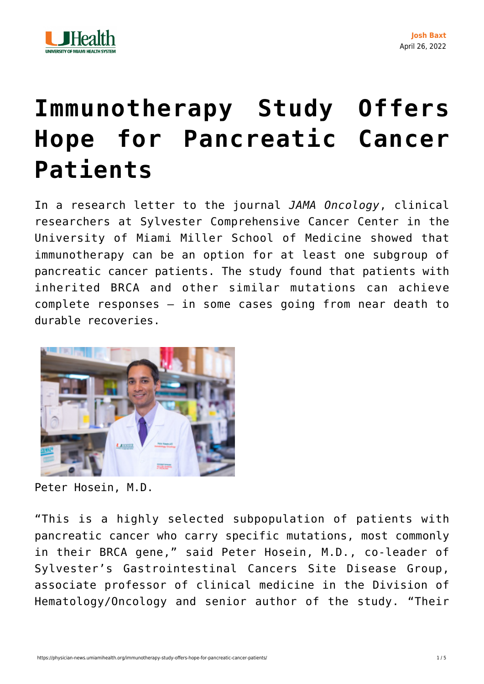

## **[Immunotherapy Study Offers](https://physician-news.umiamihealth.org/immunotherapy-study-offers-hope-for-pancreatic-cancer-patients/) [Hope for Pancreatic Cancer](https://physician-news.umiamihealth.org/immunotherapy-study-offers-hope-for-pancreatic-cancer-patients/) [Patients](https://physician-news.umiamihealth.org/immunotherapy-study-offers-hope-for-pancreatic-cancer-patients/)**

In a research letter to the journal *[JAMA Oncology](https://jamanetwork.com/journals/jamaoncology/article-abstract/2791557)*, clinical researchers at Sylvester Comprehensive Cancer Center in the University of Miami Miller School of Medicine showed that immunotherapy can be an option for at least one subgroup of pancreatic cancer patients. The study found that patients with inherited BRCA and other similar mutations can achieve complete responses — in some cases going from near death to durable recoveries.



Peter Hosein, M.D.

"This is a highly selected subpopulation of patients with pancreatic cancer who carry specific mutations, most commonly in their BRCA gene," said Peter Hosein, M.D., co-leader of Sylvester's Gastrointestinal Cancers Site Disease Group, associate professor of clinical medicine in the Division of Hematology/Oncology and senior author of the study. "Their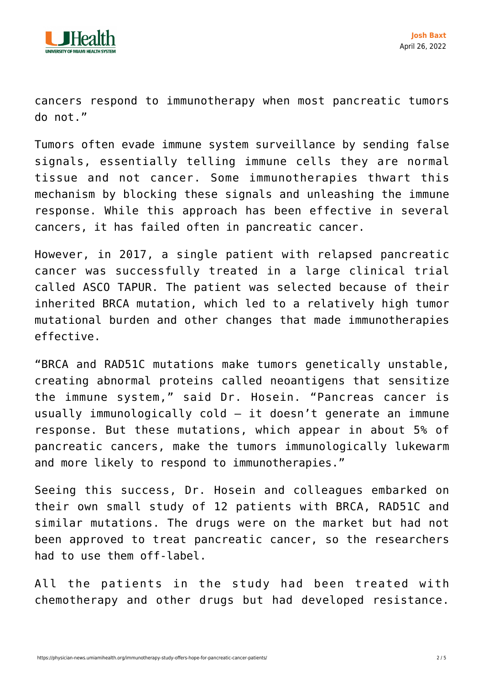

cancers respond to immunotherapy when most pancreatic tumors do not."

Tumors often evade immune system surveillance by sending false signals, essentially telling immune cells they are normal tissue and not cancer. Some immunotherapies thwart this mechanism by blocking these signals and unleashing the immune response. While this approach has been effective in several cancers, it has failed often in pancreatic cancer.

However, in 2017, a single patient with relapsed pancreatic cancer was successfully treated in a large clinical trial called ASCO TAPUR. The patient was selected because of their inherited BRCA mutation, which led to a relatively high tumor mutational burden and other changes that made immunotherapies effective.

"BRCA and RAD51C mutations make tumors genetically unstable, creating abnormal proteins called neoantigens that sensitize the immune system," said Dr. Hosein. "Pancreas cancer is usually immunologically cold — it doesn't generate an immune response. But these mutations, which appear in about 5% of pancreatic cancers, make the tumors immunologically lukewarm and more likely to respond to immunotherapies."

Seeing this success, Dr. Hosein and colleagues embarked on their own small study of 12 patients with BRCA, RAD51C and similar mutations. The drugs were on the market but had not been approved to treat pancreatic cancer, so the researchers had to use them off-label.

All the patients in the study had been treated with chemotherapy and other drugs but had developed resistance.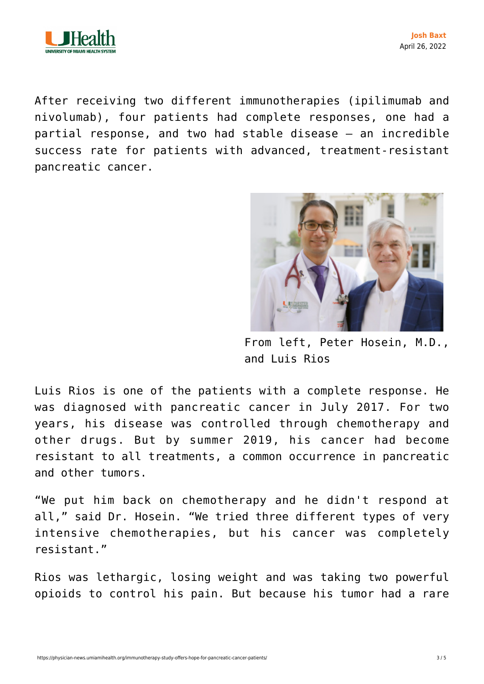

After receiving two different immunotherapies (ipilimumab and nivolumab), four patients had complete responses, one had a partial response, and two had stable disease — an incredible success rate for patients with advanced, treatment-resistant pancreatic cancer.



From left, Peter Hosein, M.D., and Luis Rios

Luis Rios is one of the patients with a complete response. He was diagnosed with pancreatic cancer in July 2017. For two years, his disease was controlled through chemotherapy and other drugs. But by summer 2019, his cancer had become resistant to all treatments, a common occurrence in pancreatic and other tumors.

"We put him back on chemotherapy and he didn't respond at all," said Dr. Hosein. "We tried three different types of very intensive chemotherapies, but his cancer was completely resistant."

Rios was lethargic, losing weight and was taking two powerful opioids to control his pain. But because his tumor had a rare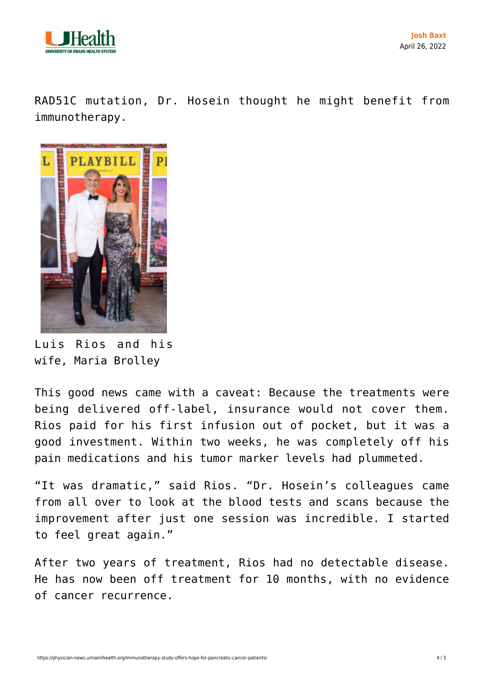

RAD51C mutation, Dr. Hosein thought he might benefit from immunotherapy.



Luis Rios and his wife, Maria Brolley

This good news came with a caveat: Because the treatments were being delivered off-label, insurance would not cover them. Rios paid for his first infusion out of pocket, but it was a good investment. Within two weeks, he was completely off his pain medications and his tumor marker levels had plummeted.

"It was dramatic," said Rios. "Dr. Hosein's colleagues came from all over to look at the blood tests and scans because the improvement after just one session was incredible. I started to feel great again."

After two years of treatment, Rios had no detectable disease. He has now been off treatment for 10 months, with no evidence of cancer recurrence.